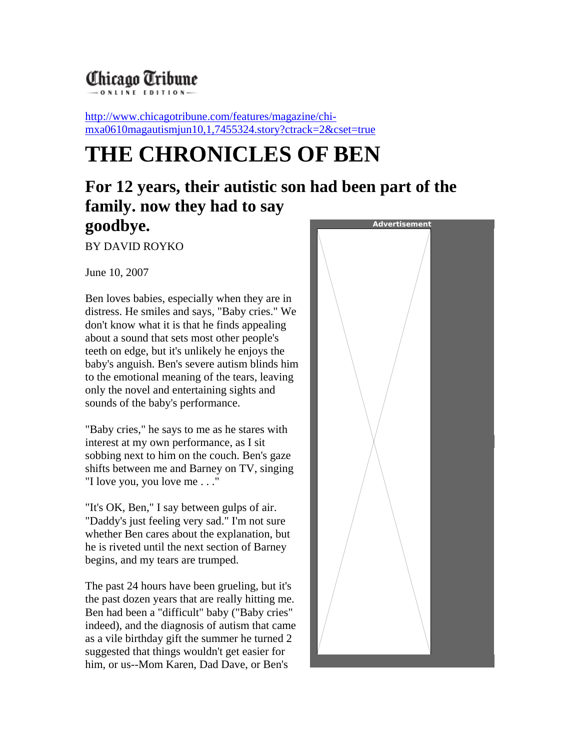## Chicago Tribune

[http://www.chicagotribune.com/features/magazine/chi](http://www.chicagotribune.com/features/magazine/chi-mxa0610magautismjun10,1,7455324.story?ctrack=2&cset=true)[mxa0610magautismjun10,1,7455324.story?ctrack=2&cset=true](http://www.chicagotribune.com/features/magazine/chi-mxa0610magautismjun10,1,7455324.story?ctrack=2&cset=true) 

## **THE CHRONICLES OF BEN**

## **For 12 years, their autistic son had been part of the family. now they had to say goodbye. Advertisement**

BY DAVID RO YKO

June 10, 2007

Ben loves babies, especially when they are in distress. He smiles and says, "Baby cries." We don't know what it is that he finds appealing about a sound that sets most other people's teeth on edge, but it's unlikely he enjoys the baby's anguish. Ben's severe autism blinds him to the emotional meaning of the tears, leaving only the novel and entertaining sights and sounds of the baby's performance.

"Baby cries," he says to me as he stares with interest at my own performance, as I sit sobbing next to him on the couch. Ben's gaze shifts between me and Barney on TV, singing "I love you, you love me . . ."

"It's OK, Ben," I say between gulps of air. "Daddy's just feeling very sad." I'm not sure whether Ben cares about the explanation, but he is riveted until the next section of Barney begins, and my tears are trumped.

The past 24 hours have been grueling, but it's the past dozen years that are really hitting me. Ben had been a "difficult" baby ("Baby cries" indeed), and the diagnosis of autism that came as a vile birthday gift the summer he turned 2 suggested that things wouldn't get easier for him, or us--Mom Karen, Dad Dave, or Ben's

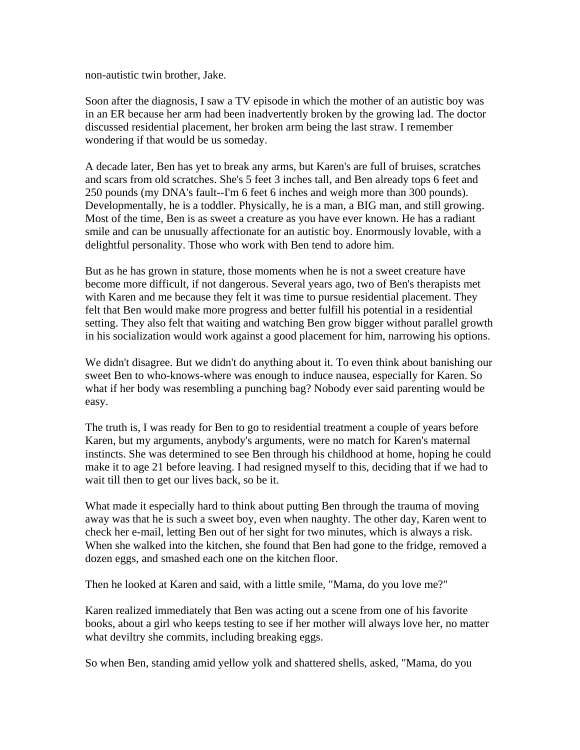non-autistic twin brother, Jake.

Soon after the diagnosis, I saw a TV episode in which the mother of an autistic boy was in an ER because her arm had been inadvertently broken by the growing lad. The docto r discussed residential placement, her broken arm being the last straw. I remember wondering if that would be us someday.

A decade later, Ben has yet to break any arms, but Karen's are full of bruises, scratches and scars from old scratches. She's 5 feet 3 inches tall, and Ben already tops 6 feet and 2 50 pounds (my DNA's fault--I'm 6 feet 6 inches and weigh more than 300 pounds). Developmentally, he is a toddler. Physically, he is a man, a BIG man, and still growi ng. Most of the time, Ben is as sweet a creature as you have ever known. He has a radiant smile and can be unusually affectionate for an autistic boy. Enormously lovable, with a delightful personality. Those who work with Ben tend to adore him.

But as he has grown in stature, those moments when he is not a sweet creature have b ecome more difficult, if not dangerous. Several years ago, two of Ben's therapists met with Karen and me because they felt it was time to pursue residential placement. They felt that Ben would make more progress and better fulfill his potential in a residential setting. They also felt that waiting and watching Ben grow bigger without parallel growth in his socialization would work against a good placement for him, narrowing his options.

We didn't disagree. But we didn't do anything about it. To even think about banishing our sweet Ben to who-knows-where was enough to induce nausea, especially for Karen. S o what if her body was resembling a punching bag? Nobody ever said parenting would be easy.

T he truth is, I was ready for Ben to go to residential treatment a couple of years before Karen, but my arguments, anybody's arguments, were no match for Karen's maternal instincts. She was determined to see Ben through his childhood at home, hoping he could make it to age 21 before leaving. I had resigned myself to this, deciding that if we had to wait till then to get our lives back, so be it.

W hat made it especially hard to think about putting Ben through the trauma of moving away was that he is such a sweet boy, even when naughty. The other day, Karen went to c heck her e-mail, letting Ben out of her sight for two minutes, which is always a risk. When she walked into the kitchen, she found that Ben had gone to the fridge, remove d a dozen eggs, and smashed each one on the kitchen floor.

T hen he looked at Karen and said, with a little smile, "Mama, do you love me?"

Karen realized immediately that Ben was acting out a scene from one of his favorite books, about a girl who keeps testing to see if her mother will always love her, no matter w hat deviltry she commits, including breaking eggs.

S o when Ben, standing amid yellow yolk and shattered shells, asked, "Mama, do you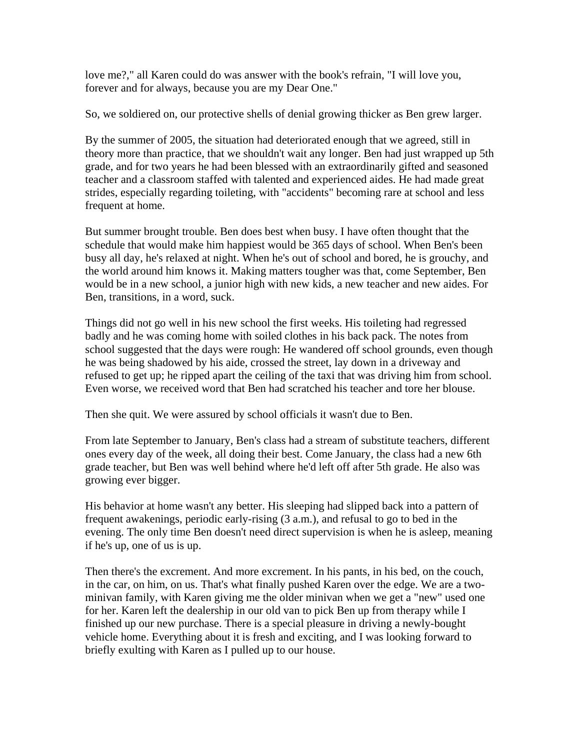love me?," all Karen could do was answer with the book's refrain, "I will love you, forever and for always, because you are my Dear One."

So, we soldiered on, our protective shells of denial growing thicker as Ben grew larger.

By the summer of 2005, the situation had deteriorated enough that we agreed, still in th eory more than practice, that we shouldn't wait any longer. Ben had just wrapped up 5th grade, and for two years he had been blessed with an extraordinarily gifted and season ed teacher and a classroom staffed with talented and experienced aides. He had made great strides, especially regarding toileting, with "accidents" becoming rare at school and less frequent at home.

But summer brought trouble. Ben does best when busy. I have often thought that the sc hedule that would make him happiest would be 365 days of school. When Ben's been busy all day, he's relaxed at night. When he's out of school and bored, he is grouchy, and the world around him knows it. Making matters tougher was that, come September, B en would be in a new school, a junior high with new kids, a new teacher and new aides. For Ben, transitions, in a word, suck.

Things did not go well in his new school the first weeks. His toileting had regressed b adly and he was coming home with soiled clothes in his back pack. The notes from school suggested that the days were rough: He wandered off school groun ds, even though h e was being shadowed by his aide, crossed the street, lay down in a driveway and refused to get up; he ripped apart the ceiling of the taxi that was driving him from school. Even worse, we received word that Ben had scratched his teacher and tore her blouse.

Then she quit. We wer e assured by school officials it wasn't due to Ben.

From late September to January, Ben's class had a stream of substitute teachers, different ones every day of the week, all doing their best. Come January, the class had a new 6th grade teacher, but Ben was well behind where he'd left off after 5th grade. He also was growing ever bigger.

His behavior at home wasn't any better. His sleeping had slipped back into a pattern of frequent awakenings, periodic early-rising (3 a.m.), and refusal to go to bed in the evening. The only time Ben doesn't need direct supervision is when he is asleep, meaning if he's up, one of us is up.

Then there's the excrement. And more excrement. In his pants, in his bed, on the couch, in the car, on him, on us. That's what finally pushed Kar en over the edge. We are a twom inivan family, with Karen giving me the older minivan when we get a "new" used one for her. Karen left the dealership in our old van to pick Ben up from therapy while I finished up our new purchase. There is a special pleasure in driving a newly-bought vehicle home. Everything about it is fresh and exciting, and I was looking forward to briefly exulting with Karen as I pulled up to our house.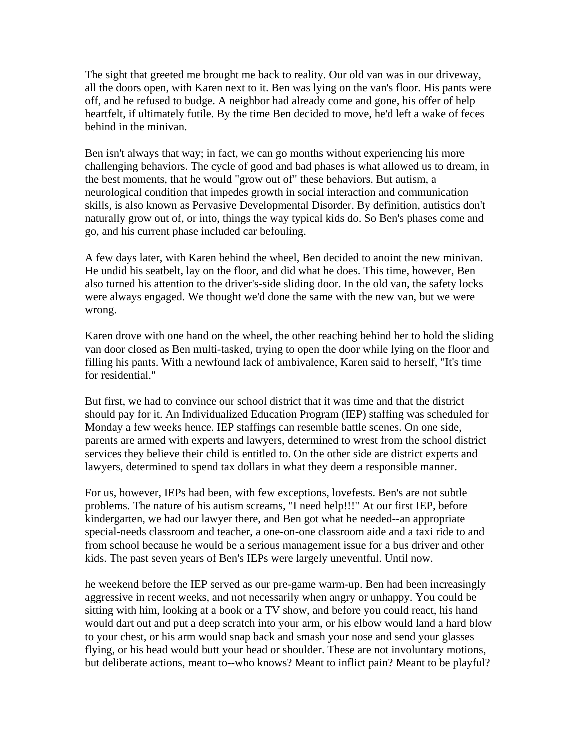T he sight that greeted me brought me back to reality. Our old van was in our driveway, all the doors open, with Karen next to it. Ben was lying on the van's floor. His pants w ere off, and he refused to budge. A neighbor had already come and gone, his offer of help heartfelt, if ultimately futile. By the time Ben decided to move, he'd left a wake of feces behind in the minivan.

Ben isn't always that way; in fact, we can go months without experiencing his more challenging behaviors. The cycle of good and bad phases is what allowed us to dream, in th e best moments, that he would "grow out of" these behaviors. But autism, a neurological condition that impedes growth in social interaction and communication skills, is also known as Pervasive Developmental Disorder. By definition, autistics don 't naturally grow out of, or into, things the way typical kids do. So Ben's phases come and go, and his current phase included car befouling.

A few days later, with Karen behind the wheel, Ben decided to anoint the new minivan. He undid his seatbelt, lay on the floor, and did what he does. This time, however, Ben also turned his attention to the driver's-side sliding door. In the old van, the safety locks were always engaged. We thought we'd done the same with the new van, but we were wrong.

Karen drove with one hand on the wheel, the other reaching behind her to hold the sliding van door closed as Ben multi-tasked, trying to open the door while lying on the floor and filling his pants. With a newfound lack of ambivalence, Karen said to herself, "It's ti me for residential."

But first, we had to convince our school district that it was time and that the district s hould pay for it. An Individualized Education Program (IEP) staffing was scheduled for Monday a few weeks hence. IEP staffings can resemble battle scenes. On one side, parents are armed with experts and lawyers, determined to wrest from the school district services they believe their child is entitled to. On the other side are district experts an d lawyers, determined to spend tax dollars in what they deem a responsible manner.

For us, however, IEPs had been, with few exceptions, lovefests. Ben's are not subtle p roblems. The nature of his autism screams, "I need help!!!" At our first IEP, before kindergarten, we had our lawyer there, and Ben got what he needed--an appropriate special-needs classroom and teacher, a one-on-one classroom aide and a taxi ride to and from school because he would be a serious management issue for a bus driver and other kids. The past seven years of Ben's IEPs were largely uneventful. Until now.

he weekend before the IEP served as our pre-game warm-up. Ben had been increasingly aggressive in recent weeks, and not necessarily when angry or unhappy. You could be sitting with him, looking at a book or a TV show, and before you could react, his hand would dart ou t and put a deep scratch into your arm, or his elbow would land a hard blow to your chest, or his arm would snap back and smash your nose and send your glasses flying, or his head would butt your head or shoulder. These are not involuntary motions, but deliberate actions, meant to--who knows? Meant to inflict pain? Meant to be playful?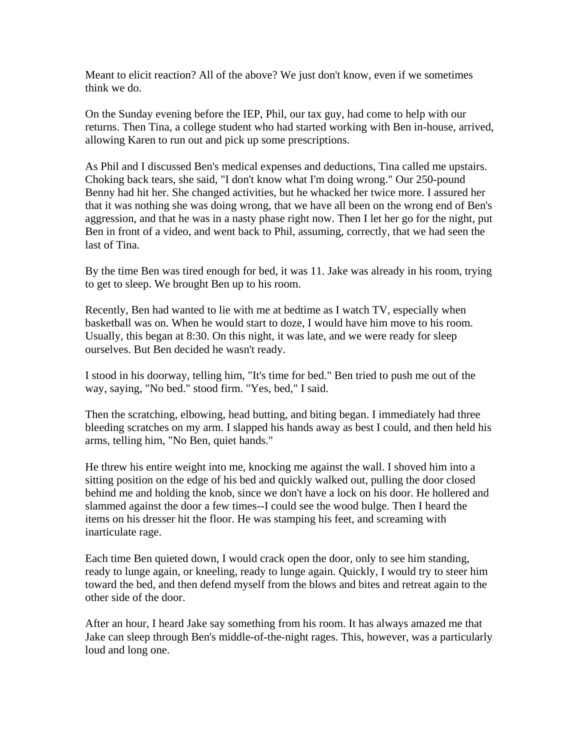Meant to elicit reaction? All of the above? We just don't kn ow, even if we sometimes th ink we do.

On the Sunday evening before the IEP, Phil, our tax guy, had come to help with our returns. Then Tina, a college student who had started working with Ben in-house, arrived , allowing Karen to run out and pick up some prescriptions.

As Phil and I discussed Ben's medical expenses and deductions, Tina called me upstairs. Choking back tears, she said, "I don't know what I'm doing wrong." Our 250-pound B enny had hit her. She changed activities, but he whacked her twice more. I assured her that it was nothing she was doing wrong, that we have all been on the wrong end of Ben's aggression, and that he was in a nasty phase righ t now. Then I let her go for the night, put B en in front of a video, and went back to Phil, assuming, correctly, that we had seen the last of Tina.

By the time Ben was tired enough for bed, it was 11. Jake was already in his room, trying to get to sleep. We brought Ben up to his room .

Recently, Ben had wanted to lie with me at bedtime as I watch TV, especially when basketball was on. When he would start to doze, I wou ld have him move to his room. U sually, this began at 8:30. On this night, it was late, and we were ready for sleep ourselves. But Ben decided he wasn't ready.

I stood in his doorway, telling him, "It's tim e for bed." Ben tried to push me out of the w ay, saying, "No bed." stood firm. "Yes, bed," I said.

Then the scratching, elbowing, head butting, and biting began. I immediately had three bleeding scratches on my arm. I slapped his hands away as best I could, and then held his arms, telling him, "No Ben, quiet hands."

He threw his entir e weight into me, knocking me against the wall. I shoved him into a si tting position on the edge of his bed and quickly walked out, pulling the door closed behind me and holding the knob, since we don't have a lock on his door. He hollered and slammed against the door a few times--I could see the wood bulge. Then I heard the items on his dresser hit the floor. He was stamping his feet, and screaming with inarticulate rage.

Each time Ben quieted down, I would crack open the door, only to see him standing, ready to lunge again, or kneeling, ready to lunge again. Quickly, I would try to steer him toward the bed, and then defend myself from the blows and bites and retreat again to the o ther side of the door.

After an hour, I heard Jake say something from his room. It has always amazed me that Jake can sleep through Ben's middle-of-the-night rages. This, however, was a particularly loud and long one.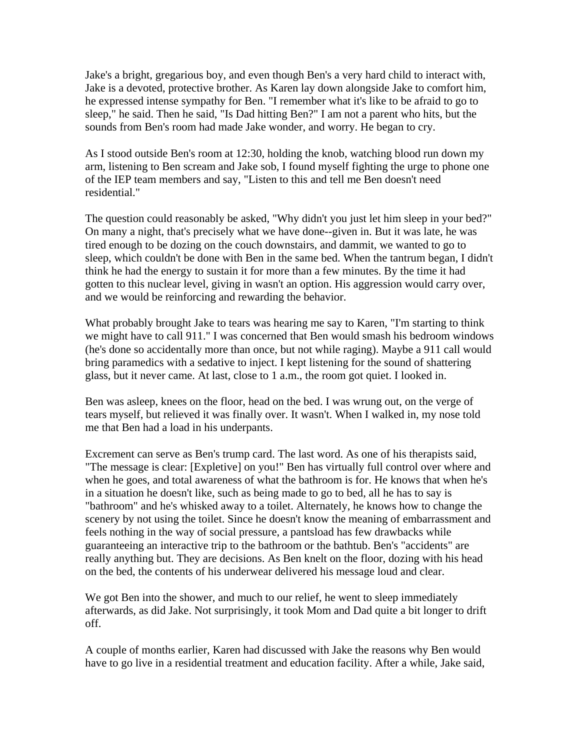Ja ke's a bright, gregarious boy, and even though Ben's a very hard child to interact with, Jake is a devoted, protective brother. As Karen lay down alongside Jake to comfort him, he expressed intense sympathy for Ben. "I remember what it's like to be afraid to go to sleep," he said. Then he said, "Is Dad hitting Ben?" I am not a parent who hits, but the sounds from Ben's room had made Jake wonder, and worry. He began to cry.

As I stood outside Ben's room at 12:30, holding the knob, watching blood run down my arm, listening to Ben scream and Jake sob, I found myself fighting the urge to phone on e of the IEP team members and say, "Listen to this and tell me Ben doesn't need residential."

The question could reasonably be asked, "Why didn't you just let him sleep in your bed?" On many a night, that's precisely what we have done--give n in. But it was late, he was ti red enough to be dozing on the couch downstairs, and dammit, we wanted to go to sleep, which couldn't be done with Ben in the same bed. When the tantrum began, I didn' t think he had the energy to sustain it for more than a few minutes. By the time it had gotten to this nuclear level, giving in wasn't an option. His aggression would carry over, and we would be reinforcing and rewarding the behavior.

W hat probably brought Jake to tears was hearing me say to Karen, "I'm starting to think we might have to call 911." I was concerned that Ben would smash his bedroom windows (he's done so accidentally more than once, but not while raging). Maybe a 911 call woul d bring paramedics with a sedative to inject. I kept listening for the sound of shattering g lass, but it never came. At last, close to 1 a.m., the room got quiet. I looked in.

Ben was asleep, knees on the floor, head on the bed. I was wrung out, on the verge of tears myself, but relieved it was finally over. It wasn't. When I walked in, my nose told me that Ben had a load in his underpants.

Excrement can serve as Ben's trump card. The last word. As one of his therapists said, "The message is clear: [Expletive] on you!" Ben has virtually full control over wh ere and when he goes, and total awareness of what the bathroom is for. He knows that when h e's in a situation he doesn't like, such as being made to go to bed, all he has to say is "bathroom" and he's whisked away to a toilet. Alternately, he knows how to cha nge the sc enery by not using the toilet. Since he doesn't know the meaning of embarrassment and feels nothing in the way of social pressure, a pantsload has few drawbacks while guaranteeing an interactive trip to the bathroom or the bathtub. Ben's "accidents" are reall y anything but. They are decisions. As Ben knelt on the floor, dozing with his head o n the bed, the contents of his underwear delivered his message loud and clear.

We got Ben into the shower, and much to our relief, he went to sleep immediately afterwards, as did Jake. Not surprisingly, it took Mom and Dad quite a bit longer to drift off.

A couple of months earlier, Karen had discussed with Jake the reasons why Ben would have to go live in a residential treatment and education facility. After a while, Jake said,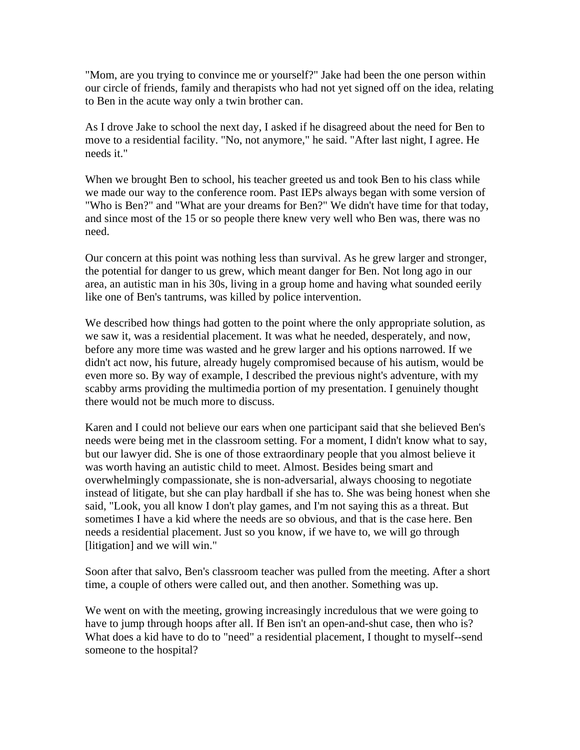"Mom, are you trying to convince me or yourself?" Jake had been the one person within our circle o f friends, family and therapists who had not yet signed off on the idea, relating to Ben in the acute way only a twin brother can.

As I drove Jake to school the next day, I asked if he disagreed about the need for Ben to move to a residential facility. "No, not anymore," he said. "After last night, I agree. He needs it."

W hen we brought Ben to school, his teacher greeted us and took Ben to his class while we made our way to the conference room. Past IEPs always began with some version of "Who is Ben?" and "What are your dreams for Ben?" We didn't have time for that today, and since most of the 15 or so people there knew very well who Ben was, there was no need.

Our concern at this point was nothing less than survival. As he grew larger and stronger, the potential for danger to us grew, which meant danger for Ben. Not long ago in our area, an autistic man in his 30s, living in a group home and having what sounded eerily like one of Ben's tantrums, was killed by police intervention.

We described how things had gotten to the point where the only appropriate solution, as we saw it, was a residential placement. It w as what he needed, desperately, and now, b efore any more time was wasted and he grew larger and his options narrowed. If we didn't act now, his future, already hugely compromised because of his autism, would be even more so. By way of example, I described the previous night's adventure, with my scabby arms providing the multimedia portion of my presentation. I genuinely thought there would not be much more to discuss.

Karen and I could not believe our ears when one participant said that she believed Ben's needs were being met in the classroom setting. For a moment, I didn't know what to s ay, but our lawyer did. She is one of those extraordinary people that you almost believe it was worth having an autistic child to meet. Almost. Besides being smart and overwhelmingly compassionat e, she is non-adversarial, always choosing to negotiate in stead of litigate, but she can play hardball if she has to. She was being honest when she said, "Look, you all know I don't play games, and I'm not saying this as a threat. But sometimes I have a kid where the needs are so obvious, and that is the case her e. Ben n eeds a residential placement. Just so you know, if we have to, we will go through [litigation] and we will win."

Soon after that salvo, Ben's classroom teacher was pulled from the meeting. After a shor t time, a couple of others w ere called out, and then another. Something was up.

We went on with the meeting, growing increasingly incredulous that we were going to have to jump through hoops after all. If Ben isn't an open-and-shut case, then who is? W hat does a kid have to do to "need" a residential placement, I thought to myself--send someone to the hospital?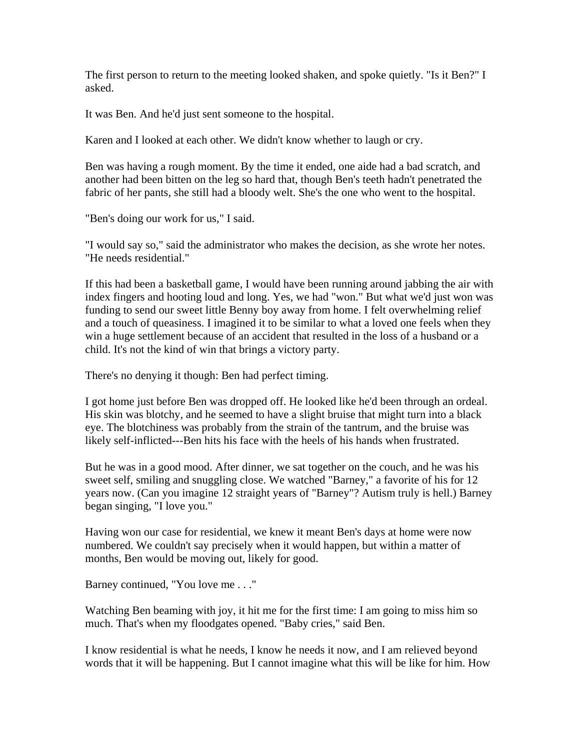The first person to return to the meeting looked shaken, and spoke quietly. " Is it Ben?" I a sked.

It was Ben. And he'd just sent someone to the hospital.

K aren and I looked at each other. We didn't know whether to laugh or cry.

B en was having a rough moment. By the time it ended, one aide had a bad scratch, and another had been bitten on the leg so hard that, though Ben's teeth hadn't penetrated the fabric of her pants, she s till had a bloody welt. She's the one who went to the hospital.

"Ben's doing our work for us," I said.

"I would say so," said the administrator who makes the decision, as she wrote her notes. "He needs residential."

If this had been a basketball game, I would have been run ning around jabbing the air with in dex fingers and hooting loud and long. Yes, we had "won." But what we'd just won was funding to send our sweet little Benny boy away from h ome. I felt overwhelming relief a nd a touch of queasiness. I imagined it to be similar to what a loved one feels when they win a huge settlement because of an accident that resulted in the loss of a husband or a child. It's not the kind of win that brings a victory party.

There's no denying it though: Ben had perfect timing.

I got home just before Ben was dropped off. He looked like he'd been through an ordeal . His skin was blotchy, and he seemed to have a slight bruise that might turn into a black eye. The blotchiness was probably from the strain of the tantrum, and the bruise was likely self-inflicted---Ben hits his face with the heels of his hands when frustrated.

But he was in a good mood. After dinner, we sat together on the couch, and he was his sweet self, smiling and snuggling close. We watched "Barney," a favorite of his for 12 years now. (Can you imagine 12 straight years of "B arney"? Autism truly is hell.) Barney b egan singing, "I love you."

H aving won our case for residential, we knew it meant Ben's days at home were now numbered. We couldn't say precisely when it would happen, but within a matter of months, Ben would be moving out, likely for good.

Barney continued, "You love me . . ."

Watching Ben beaming with joy, it hit me for the first time: I am going to miss him so much. That's when my floodgates opened. "Baby cries," said Ben.

I know residential is what he needs, I know he needs it now, and I am relieved beyond words that it will be happening. But I cannot imagine what this will be like for him. H ow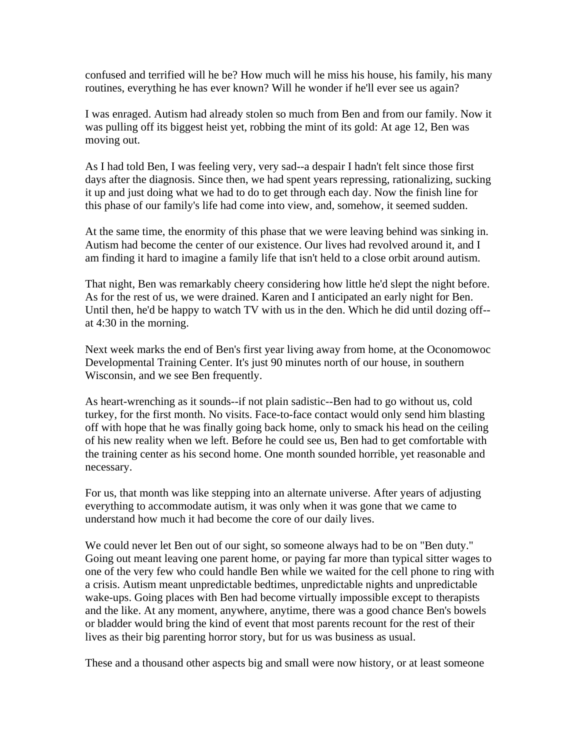confused and terrified will he be? How much will he miss his house, his family, his many ro utines, everything he has ever known? Will he wonder if he'll ever see us again?

I was enraged. Autism had already stolen so much from Ben and from our family. Now it was pulling off its biggest heist yet, robbing the mint of its gold: At age 12, Ben was moving out.

As I had told Ben, I was feeling very, very sad--a despair I hadn't felt since those first days after the diagnosis. Since then, we had spent years repressing, rationalizing, sucking it up and just doing what we had to do to get through each day. Now the finish line for th is phase of our family's life had come into view, and, somehow, it seemed sudden.

At the same time, the enormity of this phase that we were leaving behind was sinking i n. Autism had become the center of our existence. Our lives had revolved around it, and I am finding it hard to im agine a family life that isn't held to a close orbit around autism.

That night, Ben was remarkably cheery considering how little he'd slept the night before. As for the rest of us, we were drained. Karen and I anticipated an early night for Ben . Until then, he'd be happy to watch TV w ith us in the den. Which he did until dozing off- a t 4:30 in the morning.

Next week marks the end of Ben's first year living away from home, at the Oconomowoc Developmental Training Center. It's just 90 minutes north of our house, in southern Wisconsin, and we see Ben frequently.

As heart-wr enching as it sounds--if not plain sadistic--Ben had to go without us, cold tu rkey, for the first month. No visits. Face-to-face contact would only send him blasting off with hope that he was finally going back home, only to smack his head on the ceiling of his new reality when we left. Before he could see us, Ben had to get comfortable with the training center as his second home. One month sounded horri ble, yet reasonable and n ecessary.

For us, that month was like stepping into an alternate universe. After years of adjusting everything to accommodate autism, it was only when it was gone that we came to understand how much it had become the core of our daily lives.

We could never let Ben out of our sight, so someone always had to be on "Ben duty." Going out meant leaving one parent home, or paying far more than typical sitter wages to one of the very few who could handle Ben while we waited for the cell ph one to ring with a crisis. Autism meant unpredictable bedtimes, unpredictable nights and unpredictable wake-ups. Going places with Ben had become virtually impossible except to therapists and the like. At any moment, anywhere, anytime, there was a good chance Ben's bowel s or bladder would bring the kind of event that most parents recount for t he rest of their li ves as their big parenting horror story, but for us was business as usual.

These and a thousand other aspects big and small were now history, or at least someone